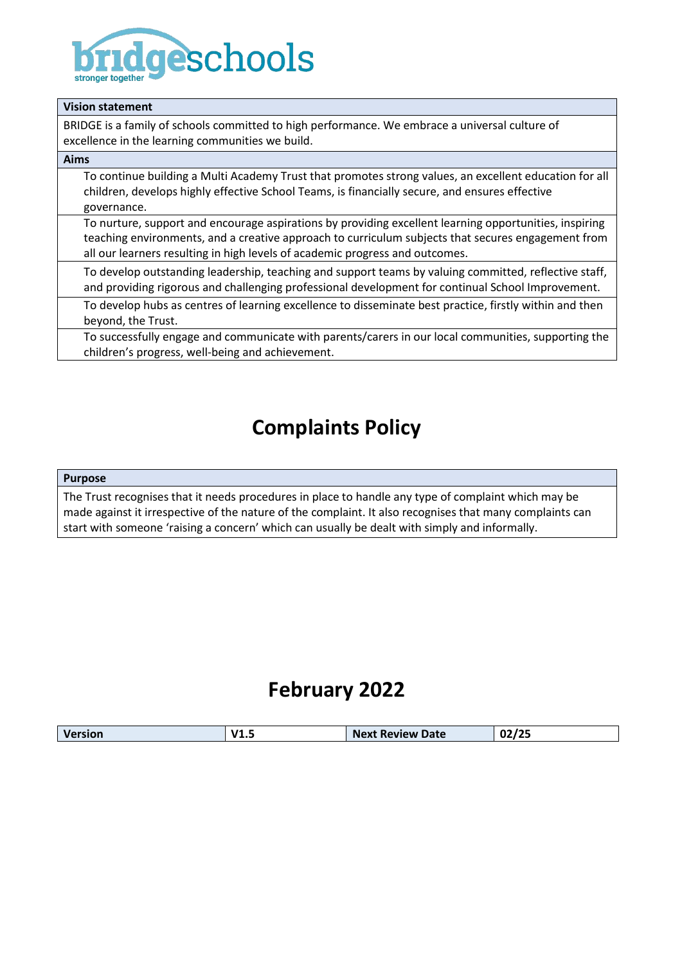

| <b>Vision statement</b>                                                                                                                                                                                                                                                                      |  |  |
|----------------------------------------------------------------------------------------------------------------------------------------------------------------------------------------------------------------------------------------------------------------------------------------------|--|--|
| BRIDGE is a family of schools committed to high performance. We embrace a universal culture of<br>excellence in the learning communities we build.                                                                                                                                           |  |  |
| Aims                                                                                                                                                                                                                                                                                         |  |  |
| To continue building a Multi Academy Trust that promotes strong values, an excellent education for all<br>children, develops highly effective School Teams, is financially secure, and ensures effective<br>governance.                                                                      |  |  |
| To nurture, support and encourage aspirations by providing excellent learning opportunities, inspiring<br>teaching environments, and a creative approach to curriculum subjects that secures engagement from<br>all our learners resulting in high levels of academic progress and outcomes. |  |  |
| To develop outstanding leadership, teaching and support teams by valuing committed, reflective staff,<br>and providing rigorous and challenging professional development for continual School Improvement.                                                                                   |  |  |
| To develop hubs as centres of learning excellence to disseminate best practice, firstly within and then<br>beyond, the Trust.                                                                                                                                                                |  |  |
| To successfully engage and communicate with parents/carers in our local communities, supporting the<br>children's progress, well-being and achievement.                                                                                                                                      |  |  |

# **Complaints Policy**

#### **Purpose**

The Trust recognises that it needs procedures in place to handle any type of complaint which may be made against it irrespective of the nature of the complaint. It also recognises that many complaints can start with someone 'raising a concern' which can usually be dealt with simply and informally.

# **February 2022**

| 02/25<br>.<br><b>Next Review Date</b><br><b>Version</b><br>--- |
|----------------------------------------------------------------|
|----------------------------------------------------------------|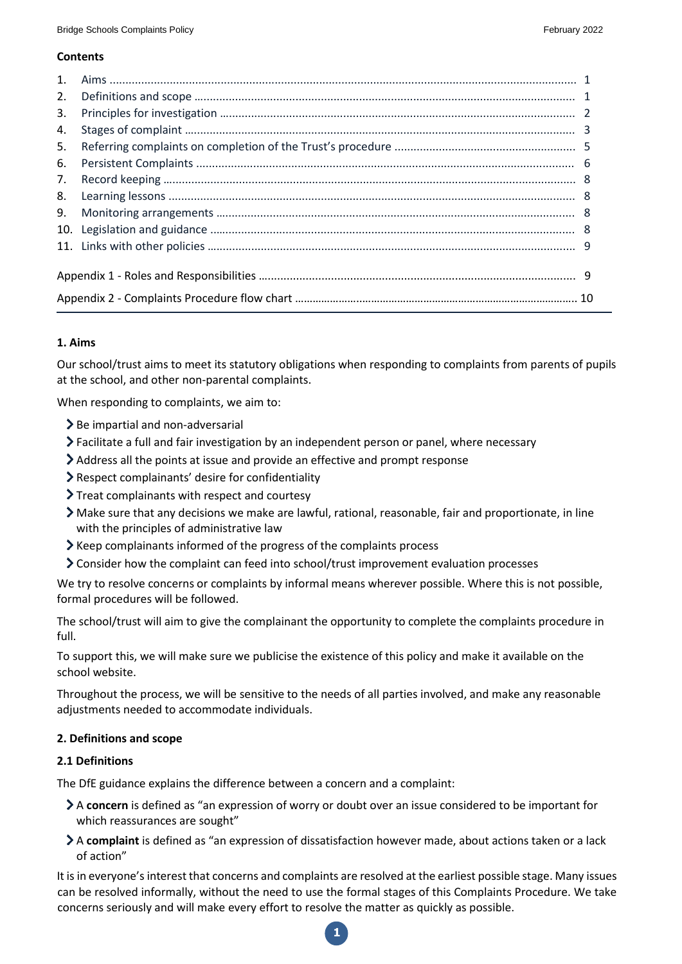# **Contents**

| $\mathbf{1}$ . |  |  |  |
|----------------|--|--|--|
| 2.             |  |  |  |
| 3.             |  |  |  |
| 4.             |  |  |  |
| 5.             |  |  |  |
| 6.             |  |  |  |
| 7.             |  |  |  |
| 8.             |  |  |  |
| 9.             |  |  |  |
| 10.            |  |  |  |
|                |  |  |  |
|                |  |  |  |
|                |  |  |  |
|                |  |  |  |

# **1. Aims**

Our school/trust aims to meet its statutory obligations when responding to complaints from parents of pupils at the school, and other non-parental complaints.

When responding to complaints, we aim to:

- $\geq$  Be impartial and non-adversarial
- Facilitate a full and fair investigation by an independent person or panel, where necessary
- Address all the points at issue and provide an effective and prompt response
- Respect complainants' desire for confidentiality
- Treat complainants with respect and courtesy
- Make sure that any decisions we make are lawful, rational, reasonable, fair and proportionate, in line with the principles of administrative law
- $\blacktriangleright$  Keep complainants informed of the progress of the complaints process
- Consider how the complaint can feed into school/trust improvement evaluation processes

We try to resolve concerns or complaints by informal means wherever possible. Where this is not possible, formal procedures will be followed.

The school/trust will aim to give the complainant the opportunity to complete the complaints procedure in full.

To support this, we will make sure we publicise the existence of this policy and make it available on the school website.

Throughout the process, we will be sensitive to the needs of all parties involved, and make any reasonable adjustments needed to accommodate individuals.

### **2. Definitions and scope**

### **2.1 Definitions**

The DfE guidance explains the difference between a concern and a complaint:

- A **concern** is defined as "an expression of worry or doubt over an issue considered to be important for which reassurances are sought"
- A **complaint** is defined as "an expression of dissatisfaction however made, about actions taken or a lack of action"

It is in everyone's interest that concerns and complaints are resolved at the earliest possible stage. Many issues can be resolved informally, without the need to use the formal stages of this Complaints Procedure. We take concerns seriously and will make every effort to resolve the matter as quickly as possible.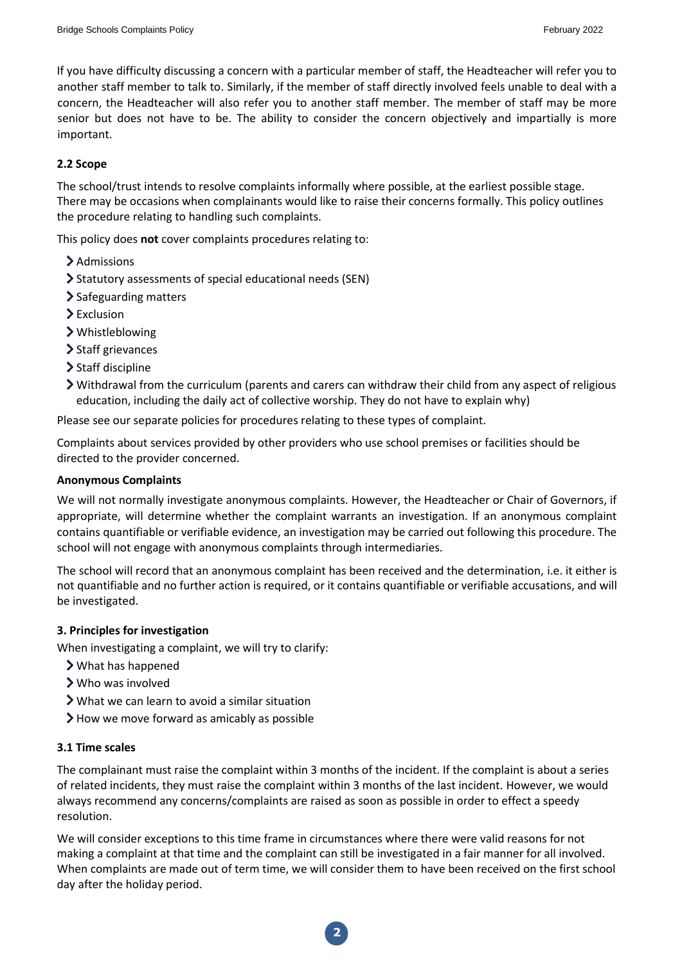If you have difficulty discussing a concern with a particular member of staff, the Headteacher will refer you to another staff member to talk to. Similarly, if the member of staff directly involved feels unable to deal with a concern, the Headteacher will also refer you to another staff member. The member of staff may be more senior but does not have to be. The ability to consider the concern objectively and impartially is more important.

# **2.2 Scope**

The school/trust intends to resolve complaints informally where possible, at the earliest possible stage. There may be occasions when complainants would like to raise their concerns formally. This policy outlines the procedure relating to handling such complaints.

This policy does **not** cover complaints procedures relating to:

- Admissions
- Statutory assessments of special educational needs (SEN)
- > Safeguarding matters
- > Exclusion
- Whistleblowing
- > Staff grievances
- > Staff discipline
- $\triangleright$  Withdrawal from the curriculum (parents and carers can withdraw their child from any aspect of religious education, including the daily act of collective worship. They do not have to explain why)

Please see our separate policies for procedures relating to these types of complaint.

Complaints about services provided by other providers who use school premises or facilities should be directed to the provider concerned.

#### **Anonymous Complaints**

We will not normally investigate anonymous complaints. However, the Headteacher or Chair of Governors, if appropriate, will determine whether the complaint warrants an investigation. If an anonymous complaint contains quantifiable or verifiable evidence, an investigation may be carried out following this procedure. The school will not engage with anonymous complaints through intermediaries.

The school will record that an anonymous complaint has been received and the determination, i.e. it either is not quantifiable and no further action is required, or it contains quantifiable or verifiable accusations, and will be investigated.

### **3. Principles for investigation**

When investigating a complaint, we will try to clarify:

- What has happened
- Who was involved
- What we can learn to avoid a similar situation
- $\blacktriangleright$  How we move forward as amicably as possible

### **3.1 Time scales**

The complainant must raise the complaint within 3 months of the incident. If the complaint is about a series of related incidents, they must raise the complaint within 3 months of the last incident. However, we would always recommend any concerns/complaints are raised as soon as possible in order to effect a speedy resolution.

We will consider exceptions to this time frame in circumstances where there were valid reasons for not making a complaint at that time and the complaint can still be investigated in a fair manner for all involved. When complaints are made out of term time, we will consider them to have been received on the first school day after the holiday period.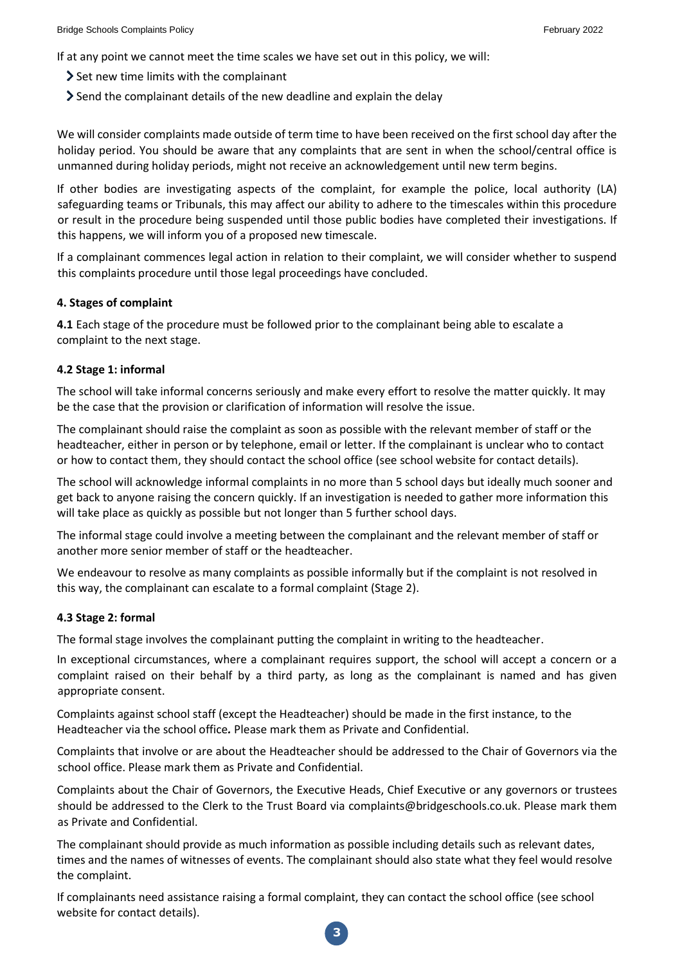If at any point we cannot meet the time scales we have set out in this policy, we will:

- $\geq$  Set new time limits with the complainant
- Send the complainant details of the new deadline and explain the delay

We will consider complaints made outside of term time to have been received on the first school day after the holiday period. You should be aware that any complaints that are sent in when the school/central office is unmanned during holiday periods, might not receive an acknowledgement until new term begins.

If other bodies are investigating aspects of the complaint, for example the police, local authority (LA) safeguarding teams or Tribunals, this may affect our ability to adhere to the timescales within this procedure or result in the procedure being suspended until those public bodies have completed their investigations. If this happens, we will inform you of a proposed new timescale.

If a complainant commences legal action in relation to their complaint, we will consider whether to suspend this complaints procedure until those legal proceedings have concluded.

### **4. Stages of complaint**

**4.1** Each stage of the procedure must be followed prior to the complainant being able to escalate a complaint to the next stage.

### **4.2 Stage 1: informal**

The school will take informal concerns seriously and make every effort to resolve the matter quickly. It may be the case that the provision or clarification of information will resolve the issue.

The complainant should raise the complaint as soon as possible with the relevant member of staff or the headteacher, either in person or by telephone, email or letter. If the complainant is unclear who to contact or how to contact them, they should contact the school office (see school website for contact details).

The school will acknowledge informal complaints in no more than 5 school days but ideally much sooner and get back to anyone raising the concern quickly. If an investigation is needed to gather more information this will take place as quickly as possible but not longer than 5 further school days.

The informal stage could involve a meeting between the complainant and the relevant member of staff or another more senior member of staff or the headteacher.

We endeavour to resolve as many complaints as possible informally but if the complaint is not resolved in this way, the complainant can escalate to a formal complaint (Stage 2).

#### **4.3 Stage 2: formal**

The formal stage involves the complainant putting the complaint in writing to the headteacher.

In exceptional circumstances, where a complainant requires support, the school will accept a concern or a complaint raised on their behalf by a third party, as long as the complainant is named and has given appropriate consent.

Complaints against school staff (except the Headteacher) should be made in the first instance, to the Headteacher via the school office*.* Please mark them as Private and Confidential.

Complaints that involve or are about the Headteacher should be addressed to the Chair of Governors via the school office. Please mark them as Private and Confidential.

Complaints about the Chair of Governors, the Executive Heads, Chief Executive or any governors or trustees should be addressed to the Clerk to the Trust Board via complaints@bridgeschools.co.uk. Please mark them as Private and Confidential.

The complainant should provide as much information as possible including details such as relevant dates, times and the names of witnesses of events. The complainant should also state what they feel would resolve the complaint.

If complainants need assistance raising a formal complaint, they can contact the school office (see school website for contact details).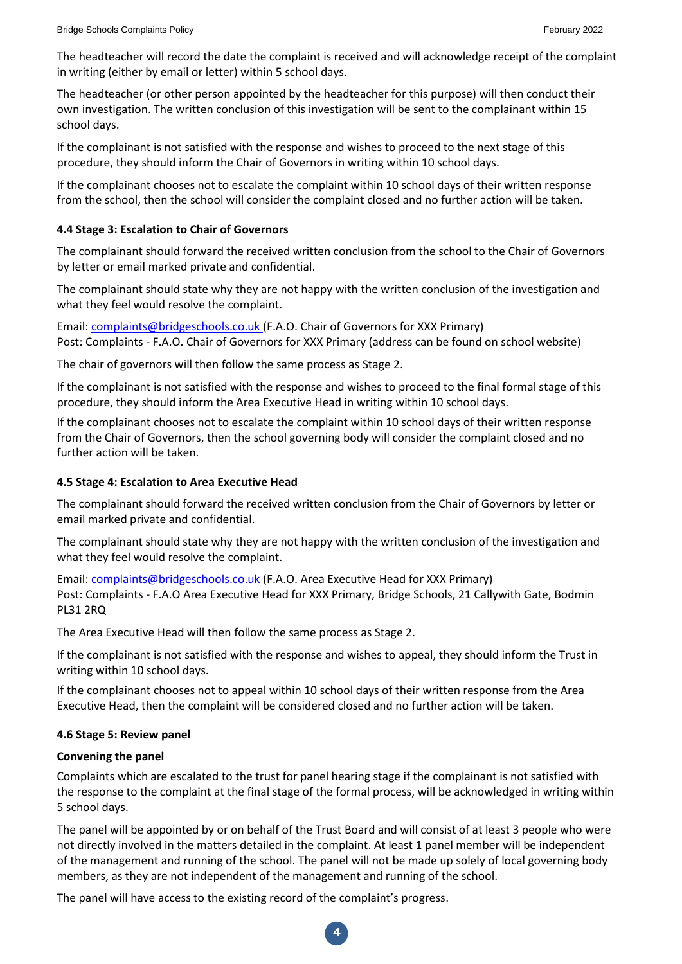The headteacher will record the date the complaint is received and will acknowledge receipt of the complaint in writing (either by email or letter) within 5 school days.

The headteacher (or other person appointed by the headteacher for this purpose) will then conduct their own investigation. The written conclusion of this investigation will be sent to the complainant within 15 school days.

If the complainant is not satisfied with the response and wishes to proceed to the next stage of this procedure, they should inform the Chair of Governors in writing within 10 school days.

If the complainant chooses not to escalate the complaint within 10 school days of their written response from the school, then the school will consider the complaint closed and no further action will be taken.

## **4.4 Stage 3: Escalation to Chair of Governors**

The complainant should forward the received written conclusion from the school to the Chair of Governors by letter or email marked private and confidential.

The complainant should state why they are not happy with the written conclusion of the investigation and what they feel would resolve the complaint.

Email[: complaints@bridgeschools.co.uk \(](mailto:complaints@bridgeschools.co.uk)F.A.O. Chair of Governors for XXX Primary) Post: Complaints - F.A.O. Chair of Governors for XXX Primary (address can be found on school website)

The chair of governors will then follow the same process as Stage 2.

If the complainant is not satisfied with the response and wishes to proceed to the final formal stage of this procedure, they should inform the Area Executive Head in writing within 10 school days.

If the complainant chooses not to escalate the complaint within 10 school days of their written response from the Chair of Governors, then the school governing body will consider the complaint closed and no further action will be taken.

# **4.5 Stage 4: Escalation to Area Executive Head**

The complainant should forward the received written conclusion from the Chair of Governors by letter or email marked private and confidential.

The complainant should state why they are not happy with the written conclusion of the investigation and what they feel would resolve the complaint.

Email[: complaints@bridgeschools.co.uk \(](mailto:complaints@bridgeschools.co.uk)F.A.O. Area Executive Head for XXX Primary) Post: Complaints - F.A.O Area Executive Head for XXX Primary, Bridge Schools, 21 Callywith Gate, Bodmin PL31 2RQ

The Area Executive Head will then follow the same process as Stage 2.

If the complainant is not satisfied with the response and wishes to appeal, they should inform the Trust in writing within 10 school days.

If the complainant chooses not to appeal within 10 school days of their written response from the Area Executive Head, then the complaint will be considered closed and no further action will be taken.

### **4.6 Stage 5: Review panel**

### **Convening the panel**

Complaints which are escalated to the trust for panel hearing stage if the complainant is not satisfied with the response to the complaint at the final stage of the formal process, will be acknowledged in writing within 5 school days.

The panel will be appointed by or on behalf of the Trust Board and will consist of at least 3 people who were not directly involved in the matters detailed in the complaint. At least 1 panel member will be independent of the management and running of the school. The panel will not be made up solely of local governing body members, as they are not independent of the management and running of the school.

**4**

The panel will have access to the existing record of the complaint's progress.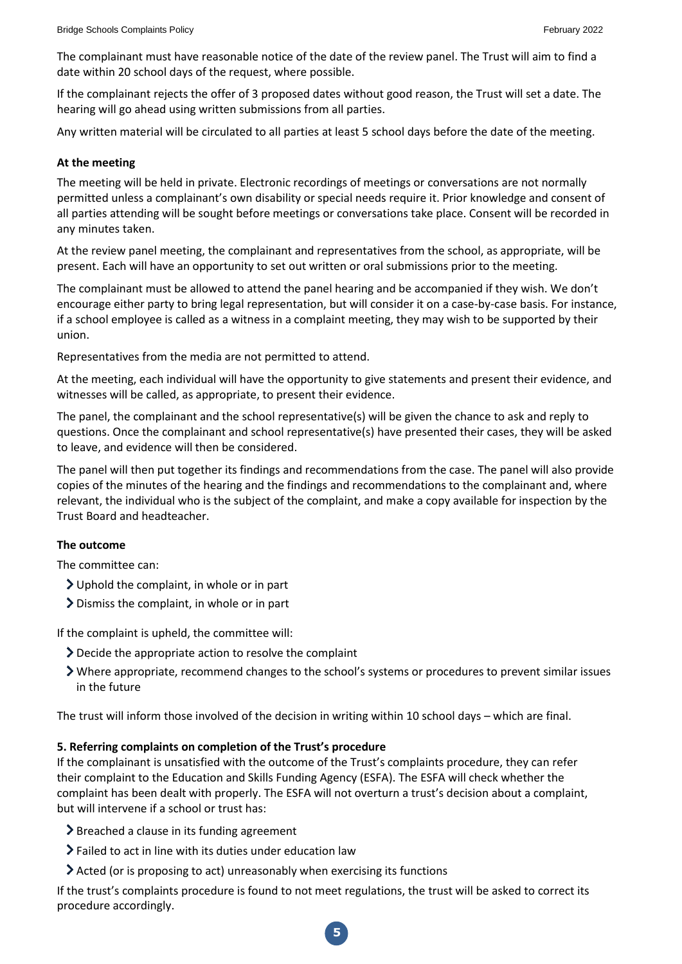The complainant must have reasonable notice of the date of the review panel. The Trust will aim to find a date within 20 school days of the request, where possible.

If the complainant rejects the offer of 3 proposed dates without good reason, the Trust will set a date. The hearing will go ahead using written submissions from all parties.

Any written material will be circulated to all parties at least 5 school days before the date of the meeting.

#### **At the meeting**

The meeting will be held in private. Electronic recordings of meetings or conversations are not normally permitted unless a complainant's own disability or special needs require it. Prior knowledge and consent of all parties attending will be sought before meetings or conversations take place. Consent will be recorded in any minutes taken.

At the review panel meeting, the complainant and representatives from the school, as appropriate, will be present. Each will have an opportunity to set out written or oral submissions prior to the meeting.

The complainant must be allowed to attend the panel hearing and be accompanied if they wish. We don't encourage either party to bring legal representation, but will consider it on a case-by-case basis. For instance, if a school employee is called as a witness in a complaint meeting, they may wish to be supported by their union.

Representatives from the media are not permitted to attend.

At the meeting, each individual will have the opportunity to give statements and present their evidence, and witnesses will be called, as appropriate, to present their evidence.

The panel, the complainant and the school representative(s) will be given the chance to ask and reply to questions. Once the complainant and school representative(s) have presented their cases, they will be asked to leave, and evidence will then be considered.

The panel will then put together its findings and recommendations from the case. The panel will also provide copies of the minutes of the hearing and the findings and recommendations to the complainant and, where relevant, the individual who is the subject of the complaint, and make a copy available for inspection by the Trust Board and headteacher.

### **The outcome**

The committee can:

- Uphold the complaint, in whole or in part
- Dismiss the complaint, in whole or in part

If the complaint is upheld, the committee will:

- Decide the appropriate action to resolve the complaint
- Where appropriate, recommend changes to the school's systems or procedures to prevent similar issues in the future

The trust will inform those involved of the decision in writing within 10 school days – which are final.

### **5. Referring complaints on completion of the Trust's procedure**

If the complainant is unsatisfied with the outcome of the Trust's complaints procedure, they can refer their complaint to the Education and Skills Funding Agency (ESFA). The ESFA will check whether the complaint has been dealt with properly. The ESFA will not overturn a trust's decision about a complaint, but will intervene if a school or trust has:

- **>** Breached a clause in its funding agreement
- Failed to act in line with its duties under education law
- Acted (or is proposing to act) unreasonably when exercising its functions

If the trust's complaints procedure is found to not meet regulations, the trust will be asked to correct its procedure accordingly.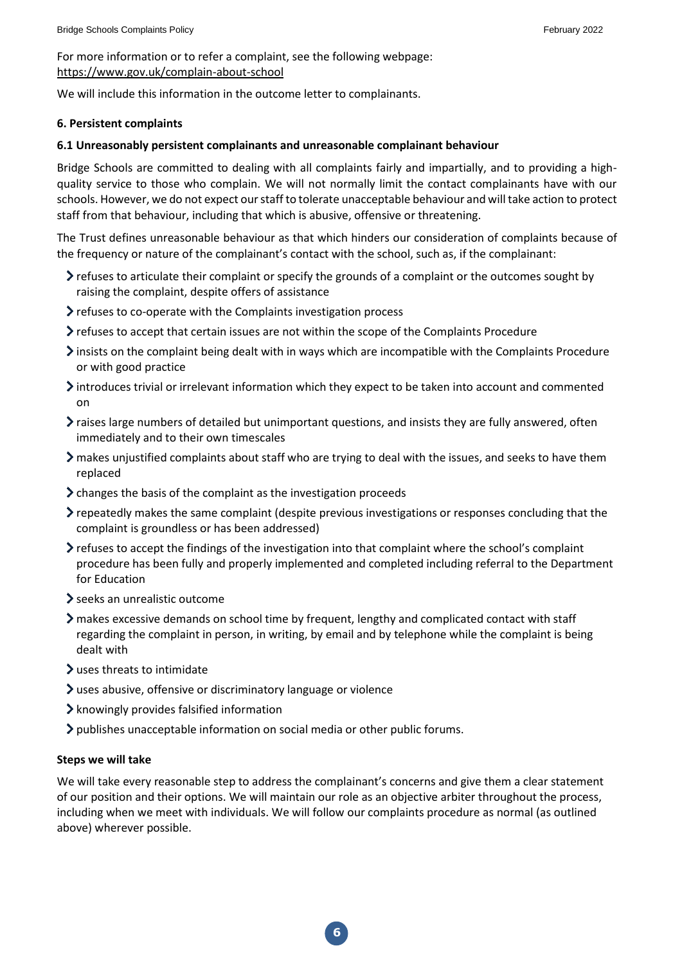For more information or to refer a complaint, see the following webpage: <https://www.gov.uk/complain-about-school>

We will include this information in the outcome letter to complainants.

## **6. Persistent complaints**

# **6.1 Unreasonably persistent complainants and unreasonable complainant behaviour**

Bridge Schools are committed to dealing with all complaints fairly and impartially, and to providing a highquality service to those who complain. We will not normally limit the contact complainants have with our schools. However, we do not expect our staff to tolerate unacceptable behaviour and will take action to protect staff from that behaviour, including that which is abusive, offensive or threatening.

The Trust defines unreasonable behaviour as that which hinders our consideration of complaints because of the frequency or nature of the complainant's contact with the school, such as, if the complainant:

- $\triangleright$  refuses to articulate their complaint or specify the grounds of a complaint or the outcomes sought by raising the complaint, despite offers of assistance
- > refuses to co-operate with the Complaints investigation process
- refuses to accept that certain issues are not within the scope of the Complaints Procedure
- Insists on the complaint being dealt with in ways which are incompatible with the Complaints Procedure or with good practice
- $\lambda$  introduces trivial or irrelevant information which they expect to be taken into account and commented on
- $\blacktriangleright$  raises large numbers of detailed but unimportant questions, and insists they are fully answered, often immediately and to their own timescales
- makes unjustified complaints about staff who are trying to deal with the issues, and seeks to have them replaced
- $\geq$  changes the basis of the complaint as the investigation proceeds
- $\ge$  repeatedly makes the same complaint (despite previous investigations or responses concluding that the complaint is groundless or has been addressed)
- $\triangleright$  refuses to accept the findings of the investigation into that complaint where the school's complaint procedure has been fully and properly implemented and completed including referral to the Department for Education
- seeks an unrealistic outcome
- makes excessive demands on school time by frequent, lengthy and complicated contact with staff regarding the complaint in person, in writing, by email and by telephone while the complaint is being dealt with
- uses threats to intimidate
- uses abusive, offensive or discriminatory language or violence
- $\blacktriangleright$  knowingly provides falsified information
- publishes unacceptable information on social media or other public forums.

### **Steps we will take**

We will take every reasonable step to address the complainant's concerns and give them a clear statement of our position and their options. We will maintain our role as an objective arbiter throughout the process, including when we meet with individuals. We will follow our complaints procedure as normal (as outlined above) wherever possible.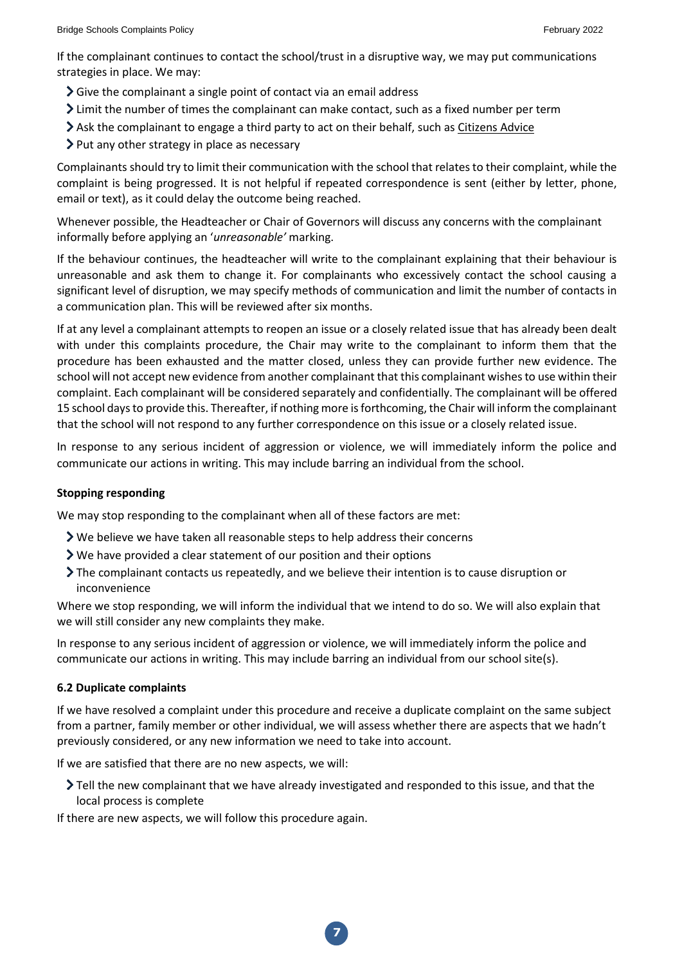If the complainant continues to contact the school/trust in a disruptive way, we may put communications strategies in place. We may:

- Sive the complainant a single point of contact via an email address
- $\sum$  Limit the number of times the complainant can make contact, such as a fixed number per term
- Ask the complainant to engage a third party to act on their behalf, such a[s Citizens Advice](https://www.citizensadvice.org.uk/)
- > Put any other strategy in place as necessary

Complainants should try to limit their communication with the school that relates to their complaint, while the complaint is being progressed. It is not helpful if repeated correspondence is sent (either by letter, phone, email or text), as it could delay the outcome being reached.

Whenever possible, the Headteacher or Chair of Governors will discuss any concerns with the complainant informally before applying an '*unreasonable'* marking.

If the behaviour continues, the headteacher will write to the complainant explaining that their behaviour is unreasonable and ask them to change it. For complainants who excessively contact the school causing a significant level of disruption, we may specify methods of communication and limit the number of contacts in a communication plan. This will be reviewed after six months.

If at any level a complainant attempts to reopen an issue or a closely related issue that has already been dealt with under this complaints procedure, the Chair may write to the complainant to inform them that the procedure has been exhausted and the matter closed, unless they can provide further new evidence. The school will not accept new evidence from another complainant that this complainant wishes to use within their complaint. Each complainant will be considered separately and confidentially. The complainant will be offered 15 school days to provide this. Thereafter, if nothing more is forthcoming, the Chair will inform the complainant that the school will not respond to any further correspondence on this issue or a closely related issue.

In response to any serious incident of aggression or violence, we will immediately inform the police and communicate our actions in writing. This may include barring an individual from the school.

### **Stopping responding**

We may stop responding to the complainant when all of these factors are met:

- We believe we have taken all reasonable steps to help address their concerns
- We have provided a clear statement of our position and their options
- The complainant contacts us repeatedly, and we believe their intention is to cause disruption or inconvenience

Where we stop responding, we will inform the individual that we intend to do so. We will also explain that we will still consider any new complaints they make.

In response to any serious incident of aggression or violence, we will immediately inform the police and communicate our actions in writing. This may include barring an individual from our school site(s).

### **6.2 Duplicate complaints**

If we have resolved a complaint under this procedure and receive a duplicate complaint on the same subject from a partner, family member or other individual, we will assess whether there are aspects that we hadn't previously considered, or any new information we need to take into account.

If we are satisfied that there are no new aspects, we will:

Tell the new complainant that we have already investigated and responded to this issue, and that the local process is complete

If there are new aspects, we will follow this procedure again.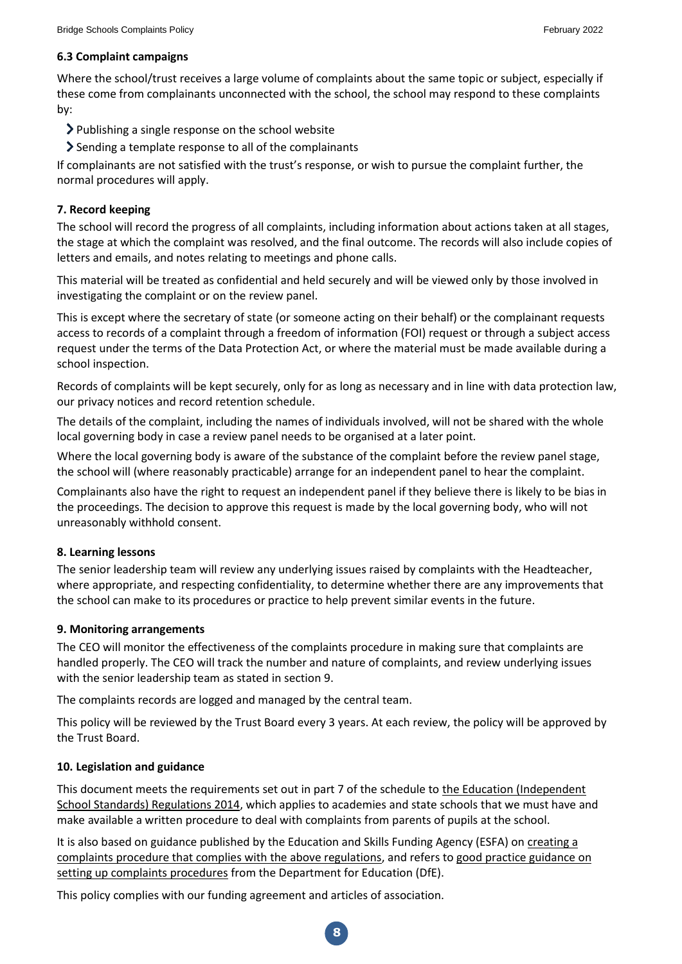# **6.3 Complaint campaigns**

Where the school/trust receives a large volume of complaints about the same topic or subject, especially if these come from complainants unconnected with the school, the school may respond to these complaints by:

- Publishing a single response on the school website
- $\geq$  Sending a template response to all of the complainants

If complainants are not satisfied with the trust's response, or wish to pursue the complaint further, the normal procedures will apply.

# **7. Record keeping**

The school will record the progress of all complaints, including information about actions taken at all stages, the stage at which the complaint was resolved, and the final outcome. The records will also include copies of letters and emails, and notes relating to meetings and phone calls.

This material will be treated as confidential and held securely and will be viewed only by those involved in investigating the complaint or on the review panel.

This is except where the secretary of state (or someone acting on their behalf) or the complainant requests access to records of a complaint through a freedom of information (FOI) request or through a subject access request under the terms of the Data Protection Act, or where the material must be made available during a school inspection.

Records of complaints will be kept securely, only for as long as necessary and in line with data protection law, our privacy notices and record retention schedule.

The details of the complaint, including the names of individuals involved, will not be shared with the whole local governing body in case a review panel needs to be organised at a later point.

Where the local governing body is aware of the substance of the complaint before the review panel stage, the school will (where reasonably practicable) arrange for an independent panel to hear the complaint.

Complainants also have the right to request an independent panel if they believe there is likely to be bias in the proceedings. The decision to approve this request is made by the local governing body, who will not unreasonably withhold consent.

### **8. Learning lessons**

The senior leadership team will review any underlying issues raised by complaints with the Headteacher, where appropriate, and respecting confidentiality, to determine whether there are any improvements that the school can make to its procedures or practice to help prevent similar events in the future.

### **9. Monitoring arrangements**

The CEO will monitor the effectiveness of the complaints procedure in making sure that complaints are handled properly. The CEO will track the number and nature of complaints, and review underlying issues with the senior leadership team as stated in section 9.

The complaints records are logged and managed by the central team.

This policy will be reviewed by the Trust Board every 3 years. At each review, the policy will be approved by the Trust Board.

### **10. Legislation and guidance**

This document meets the requirements set out in part 7 of the schedule to the [Education \(Independent](http://www.legislation.gov.uk/uksi/2014/3283/schedule/made)  [School Standards\) Regulations 2014,](http://www.legislation.gov.uk/uksi/2014/3283/schedule/made) which applies to academies and state schools that we must have and make available a written procedure to deal with complaints from parents of pupils at the school.

It is also based on guidance published by the Education and Skills Funding Agency (ESFA) o[n creating a](https://www.gov.uk/government/publications/setting-up-an-academies-complaints-procedure)  [complaints procedure that complies with the above regulations,](https://www.gov.uk/government/publications/setting-up-an-academies-complaints-procedure) and refers t[o good practice guidance on](https://www.gov.uk/government/publications/school-complaints-procedures)  [setting up complaints procedures](https://www.gov.uk/government/publications/school-complaints-procedures) from the Department for Education (DfE).

This policy complies with our funding agreement and articles of association.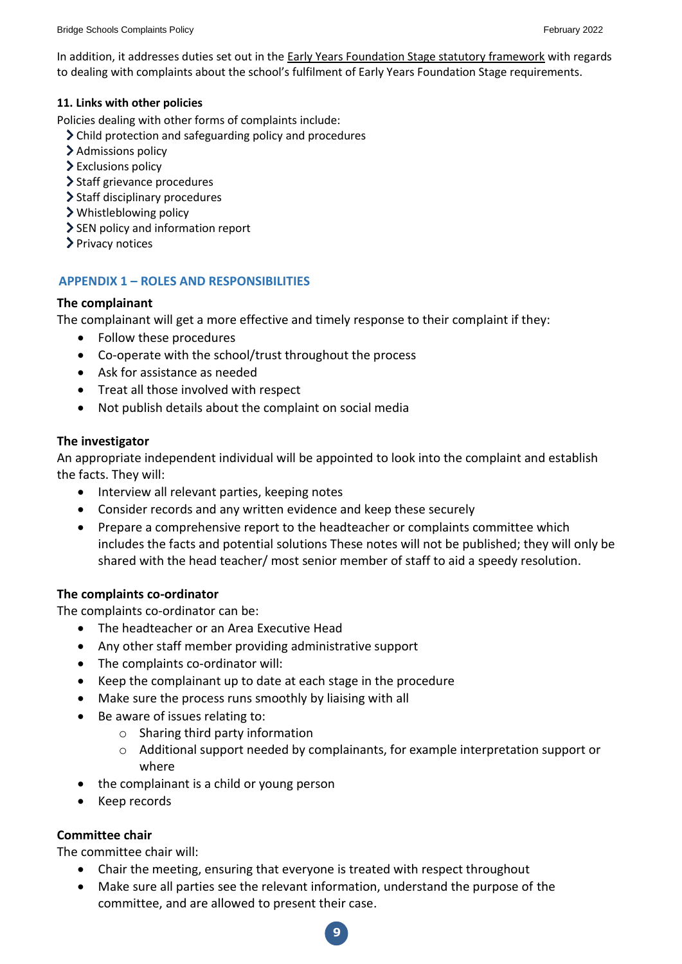In addition, it addresses duties set out in th[e Early Years Foundation Stage statutory framework](https://www.gov.uk/government/publications/early-years-foundation-stage-framework--2) with regards to dealing with complaints about the school's fulfilment of Early Years Foundation Stage requirements.

## **11. Links with other policies**

Policies dealing with other forms of complaints include:

- Child protection and safeguarding policy and procedures
- > Admissions policy
- > Exclusions policy
- > Staff grievance procedures
- > Staff disciplinary procedures
- Whistleblowing policy
- SEN policy and information report
- > Privacy notices

# **APPENDIX 1 – ROLES AND RESPONSIBILITIES**

# **The complainant**

The complainant will get a more effective and timely response to their complaint if they:

- Follow these procedures
- Co-operate with the school/trust throughout the process
- Ask for assistance as needed
- Treat all those involved with respect
- Not publish details about the complaint on social media

# **The investigator**

An appropriate independent individual will be appointed to look into the complaint and establish the facts. They will:

- Interview all relevant parties, keeping notes
- Consider records and any written evidence and keep these securely
- Prepare a comprehensive report to the headteacher or complaints committee which includes the facts and potential solutions These notes will not be published; they will only be shared with the head teacher/ most senior member of staff to aid a speedy resolution.

# **The complaints co-ordinator**

The complaints co-ordinator can be:

- The headteacher or an Area Executive Head
- Any other staff member providing administrative support
- The complaints co-ordinator will:
- Keep the complainant up to date at each stage in the procedure
- Make sure the process runs smoothly by liaising with all
- Be aware of issues relating to:
	- o Sharing third party information
	- o Additional support needed by complainants, for example interpretation support or where
- the complainant is a child or young person
- Keep records

# **Committee chair**

The committee chair will:

- Chair the meeting, ensuring that everyone is treated with respect throughout
- Make sure all parties see the relevant information, understand the purpose of the committee, and are allowed to present their case.